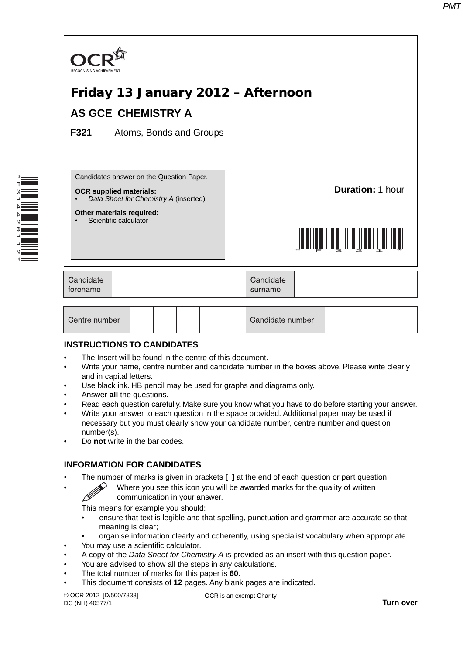

## **INSTRUCTIONS TO CANDIDATES**

- The Insert will be found in the centre of this document.
- Write your name, centre number and candidate number in the boxes above. Please write clearly and in capital letters.
- Use black ink. HB pencil may be used for graphs and diagrams only.
- Answer **all** the questions.

\*F314420112\*

- Read each question carefully. Make sure you know what you have to do before starting your answer.
- Write your answer to each question in the space provided. Additional paper may be used if necessary but you must clearly show your candidate number, centre number and question number(s).
- Do **not** write in the bar codes.

## **INFORMATION FOR CANDIDATES**

- The number of marks is given in brackets **[ ]** at the end of each question or part question.
	- Where you see this icon you will be awarded marks for the quality of written communication in your answer.

This means for example you should:

- ensure that text is legible and that spelling, punctuation and grammar are accurate so that meaning is clear;
- organise information clearly and coherently, using specialist vocabulary when appropriate.
- You may use a scientific calculator.
- A copy of the *Data Sheet for Chemistry A* is provided as an insert with this question paper.
- You are advised to show all the steps in any calculations.
- The total number of marks for this paper is **60**.
- This document consists of **12** pages. Any blank pages are indicated.

© OCR 2012 [D/500/7833] DC (NH) 40577/1

OCR is an exempt Charity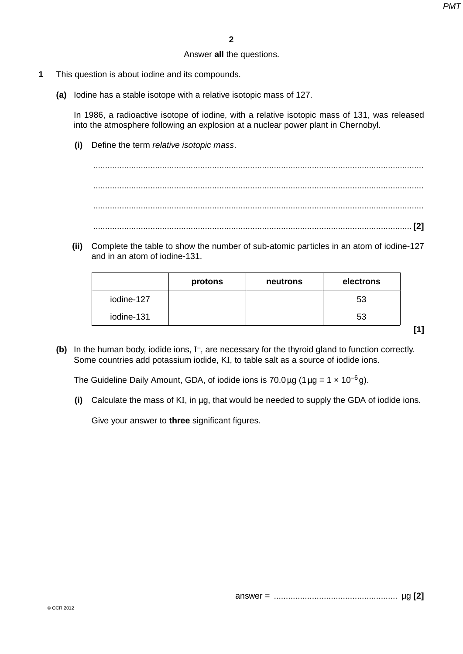## Answer **all** the questions.

- **1** This question is about iodine and its compounds.
	- **(a)** Iodine has a stable isotope with a relative isotopic mass of 127.

In 1986, a radioactive isotope of iodine, with a relative isotopic mass of 131, was released into the atmosphere following an explosion at a nuclear power plant in Chernobyl.

 **(i)** Define the term *relative isotopic mass*.

 ........................................................................................................................................... ........................................................................................................................................... ........................................................................................................................................... ...................................................................................................................................... **[2]**

 **(ii)** Complete the table to show the number of sub-atomic particles in an atom of iodine-127 and in an atom of iodine-131.

|            | protons | neutrons | electrons |
|------------|---------|----------|-----------|
| iodine-127 |         |          | 53        |
| iodine-131 |         |          | 53        |

**[1]**

(b) In the human body, iodide ions, I<sup>-</sup>, are necessary for the thyroid gland to function correctly. Some countries add potassium iodide, KI, to table salt as a source of iodide ions.

The Guideline Daily Amount, GDA, of iodide ions is 70.0 µg (1 µg =  $1 \times 10^{-6}$  g).

 **(i)** Calculate the mass of KI, in µg, that would be needed to supply the GDA of iodide ions.

Give your answer to **three** significant figures.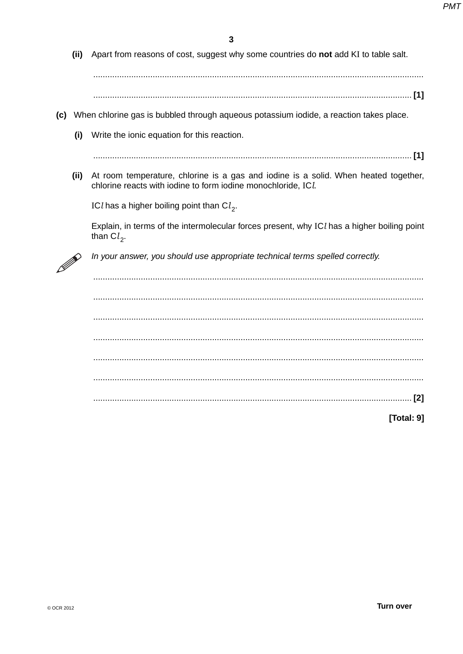(ii) Apart from reasons of cost, suggest why some countries do not add KI to table salt.

- (c) When chlorine gas is bubbled through aqueous potassium iodide, a reaction takes place.
	- (i) Write the ionic equation for this reaction.

(ii) At room temperature, chlorine is a gas and iodine is a solid. When heated together, chlorine reacts with iodine to form iodine monochloride, ICL

ICl has a higher boiling point than  $Cl_2$ .

Explain, in terms of the intermolecular forces present, why ICI has a higher boiling point than  $Cl_2$ .



In your answer, you should use appropriate technical terms spelled correctly.

|  | $[2]$ |
|--|-------|
|  |       |

[Total: 9]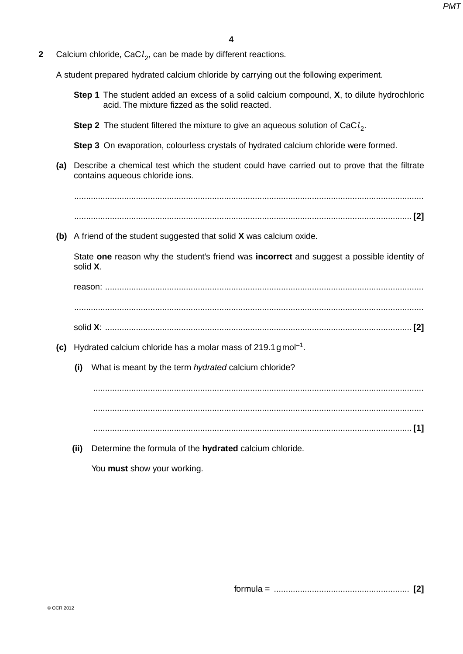**2** Calcium chloride, CaCl<sub>2</sub>, can be made by different reactions.

A student prepared hydrated calcium chloride by carrying out the following experiment.

- **Step 1** The student added an excess of a solid calcium compound, **X**, to dilute hydrochloric acid. The mixture fizzed as the solid reacted.
- **Step 2** The student filtered the mixture to give an aqueous solution of CaCl<sub>2</sub>.

 **Step 3** On evaporation, colourless crystals of hydrated calcium chloride were formed.

 **(a)** Describe a chemical test which the student could have carried out to prove that the filtrate contains aqueous chloride ions.

 ................................................................................................................................................... .............................................................................................................................................. **[2]**

 **(b)** A friend of the student suggested that solid **X** was calcium oxide.

State **one** reason why the student's friend was **incorrect** and suggest a possible identity of solid **X**.

reason: ...................................................................................................................................... ...................................................................................................................................................

- solid **X**: ................................................................................................................................. **[2]**
- **(c)** Hydrated calcium chloride has a molar mass of 219.1 g mol–1.
	- **(i)** What is meant by the term *hydrated* calcium chloride?

 ........................................................................................................................................... ........................................................................................................................................... ...................................................................................................................................... **[1]**

 **(ii)** Determine the formula of the **hydrated** calcium chloride.

You **must** show your working.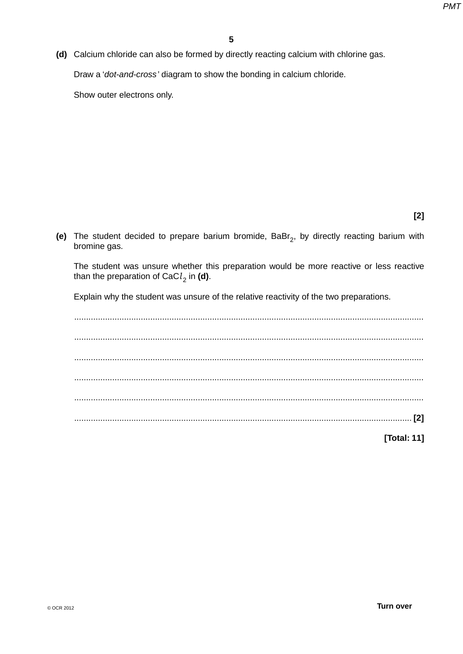**(d)** Calcium chloride can also be formed by directly reacting calcium with chlorine gas.

Draw a '*dot-and-cross* ' diagram to show the bonding in calcium chloride.

Show outer electrons only.

**[2]**

(e) The student decided to prepare barium bromide, BaBr<sub>2</sub>, by directly reacting barium with bromine gas.

The student was unsure whether this preparation would be more reactive or less reactive than the preparation of CaC $l_2$  in (d).

Explain why the student was unsure of the relative reactivity of the two preparations.

 ................................................................................................................................................... ................................................................................................................................................... ................................................................................................................................................... ................................................................................................................................................... ................................................................................................................................................... .............................................................................................................................................. **[2] [Total: 11]**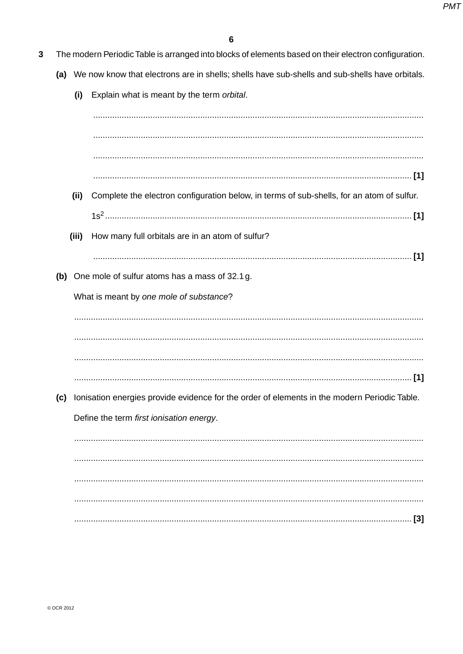- $\overline{3}$ The modern Periodic Table is arranged into blocks of elements based on their electron configuration.
	- (a) We now know that electrons are in shells; shells have sub-shells and sub-shells have orbitals.
		- (i) Explain what is meant by the term orbital.

(ii) Complete the electron configuration below, in terms of sub-shells, for an atom of sulfur. (iii) How many full orbitals are in an atom of sulfur? (b) One mole of sulfur atoms has a mass of 32.1 g. What is meant by one mole of substance? (c) Ionisation energies provide evidence for the order of elements in the modern Periodic Table. Define the term first ionisation energy.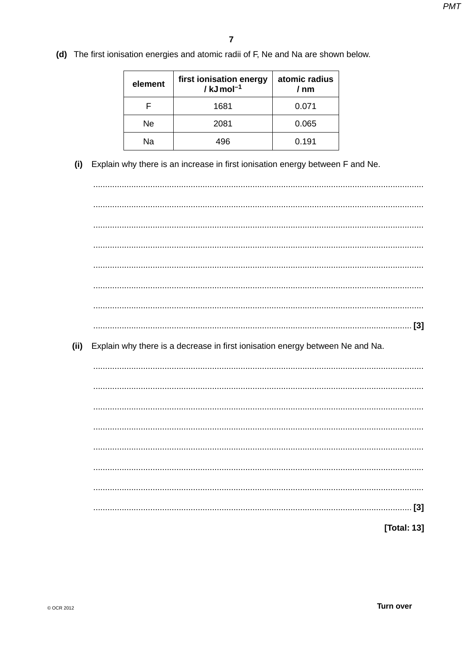(d) The first ionisation energies and atomic radii of F, Ne and Na are shown below.

| element | first ionisation energy<br>$/$ kJ mol <sup>-1</sup> | atomic radius<br>/ nm |
|---------|-----------------------------------------------------|-----------------------|
|         | 1681                                                | 0.071                 |
| Ne      | 2081                                                | 0.065                 |
| Nа      | 496                                                 | 0.191                 |

(i) Explain why there is an increase in first ionisation energy between F and Ne.

 $(ii)$ Explain why there is a decrease in first ionisation energy between Ne and Na. [Total: 13]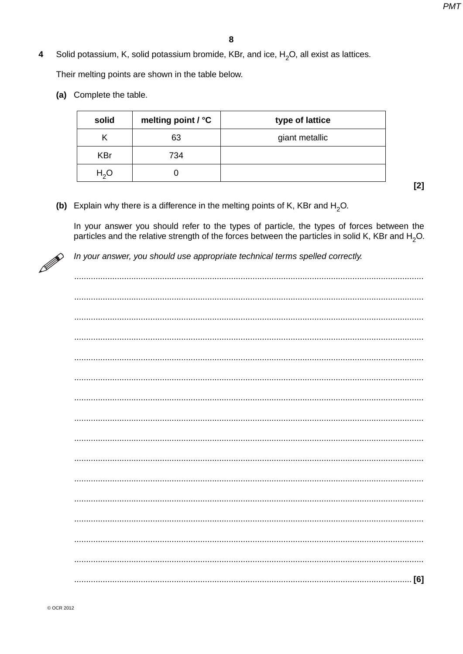Solid potassium, K, solid potassium bromide, KBr, and ice,  $H_2O$ , all exist as lattices.  $\overline{\mathbf{4}}$ 

Their melting points are shown in the table below.

(a) Complete the table.

| solid            | melting point / °C | type of lattice |
|------------------|--------------------|-----------------|
| Κ                | 63                 | giant metallic  |
| <b>KBr</b>       | 734                |                 |
| H <sub>2</sub> O |                    |                 |

 $[2]$ 

(b) Explain why there is a difference in the melting points of K, KBr and  $H_2O$ .

In your answer you should refer to the types of particle, the types of forces between the particles and the relative strength of the forces between the particles in solid K, KBr and H<sub>2</sub>O.



In your answer, you should use appropriate technical terms spelled correctly.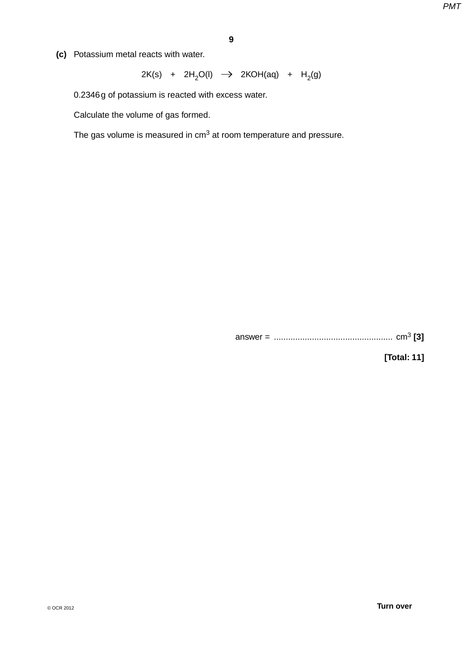**(c)** Potassium metal reacts with water.

 $2K(s)$  +  $2H_2O(l)$   $\rightarrow$   $2KOH(aq)$  +  $H_2(g)$ 

0.2346 g of potassium is reacted with excess water.

Calculate the volume of gas formed.

The gas volume is measured in cm3 at room temperature and pressure.

answer = .................................................. cm3 **[3]**

**[Total: 11]**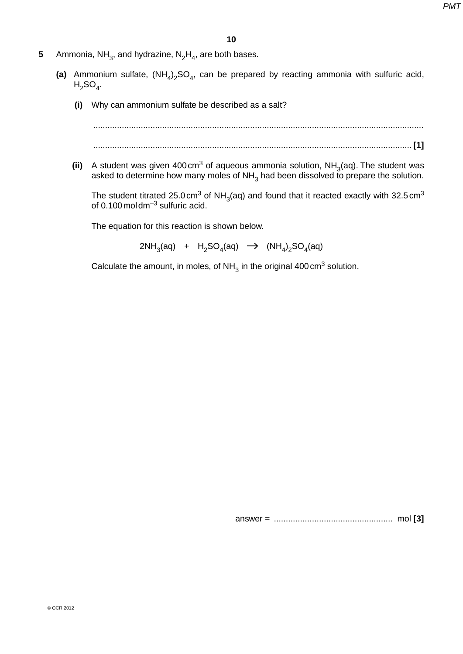- **5** Ammonia, NH<sub>3</sub>, and hydrazine,  $N_2H_4$ , are both bases.
- (a) Ammonium sulfate,  $(NH_4)_2SO_4$ , can be prepared by reacting ammonia with sulfuric acid,  $H<sub>2</sub>SO<sub>4</sub>$ .
	- **(i)** Why can ammonium sulfate be described as a salt?

$$
\begin{bmatrix} 1 \\ 2 \end{bmatrix}
$$

**(ii)** A student was given 400 cm<sup>3</sup> of aqueous ammonia solution,  $NH<sub>3</sub>(aq)$ . The student was asked to determine how many moles of NH $_3$  had been dissolved to prepare the solution.

The student titrated 25.0 cm<sup>3</sup> of NH<sub>3</sub>(aq) and found that it reacted exactly with 32.5 cm<sup>3</sup> of 0.100 mol dm $^{-3}$  sulfuric acid.

The equation for this reaction is shown below.

2NH<sub>3</sub>(aq) + H<sub>2</sub>SO<sub>4</sub>(aq)  $\rightarrow$  (NH<sub>4</sub>)<sub>2</sub>SO<sub>4</sub>(aq)

Calculate the amount, in moles, of  $NH<sub>3</sub>$  in the original 400 cm<sup>3</sup> solution.

answer = .................................................. mol **[3]**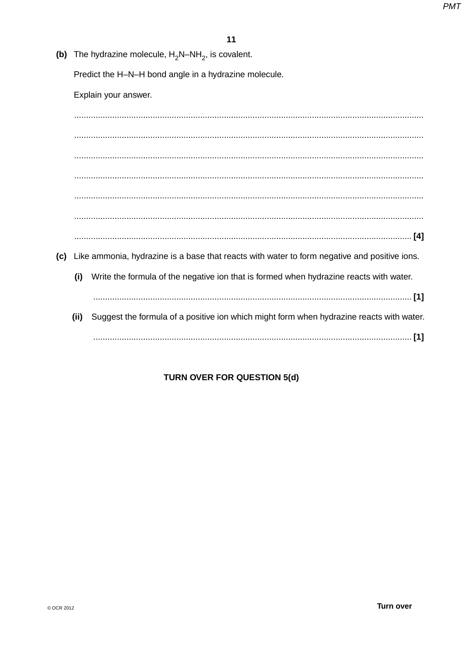(b) The hydrazine molecule,  $H_2N-NH_2$ , is covalent.

Predict the H-N-H bond angle in a hydrazine molecule.

Explain your answer.

(c) Like ammonia, hydrazine is a base that reacts with water to form negative and positive ions.  $(i)$ Write the formula of the negative ion that is formed when hydrazine reacts with water. (ii) Suggest the formula of a positive ion which might form when hydrazine reacts with water. 

# **TURN OVER FOR QUESTION 5(d)**